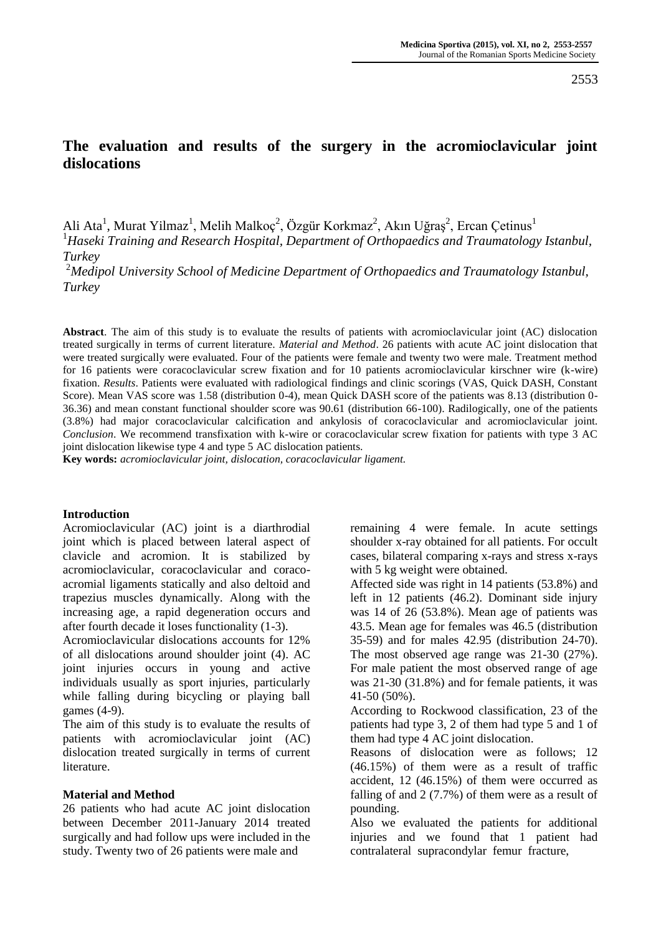# **The evaluation and results of the surgery in the acromioclavicular joint dislocations**

Ali Ata<sup>1</sup>, Murat Yilmaz<sup>1</sup>, Melih Malkoç<sup>2</sup>, Özgür Korkmaz<sup>2</sup>, Akın Uğraş<sup>2</sup>, Ercan Çetinus<sup>1</sup>

<sup>1</sup>*Haseki Training and Research Hospital, Department of Orthopaedics and Traumatology Istanbul, Turkey*

<sup>2</sup>*Medipol University School of Medicine Department of Orthopaedics and Traumatology Istanbul, Turkey*

**Abstract**. The aim of this study is to evaluate the results of patients with acromioclavicular joint (AC) dislocation treated surgically in terms of current literature. *Material and Method*. 26 patients with acute AC joint dislocation that were treated surgically were evaluated. Four of the patients were female and twenty two were male. Treatment method for 16 patients were coracoclavicular screw fixation and for 10 patients acromioclavicular kirschner wire (k-wire) fixation. *Results*. Patients were evaluated with radiological findings and clinic scorings (VAS, Quick DASH, Constant Score). Mean VAS score was 1.58 (distribution 0-4), mean Quick DASH score of the patients was 8.13 (distribution 0-36.36) and mean constant functional shoulder score was 90.61 (distribution 66-100). Radilogically, one of the patients (3.8%) had major coracoclavicular calcification and ankylosis of coracoclavicular and acromioclavicular joint. *Conclusion*. We recommend transfixation with k-wire or coracoclavicular screw fixation for patients with type 3 AC joint dislocation likewise type 4 and type 5 AC dislocation patients.

**Key words:** *acromioclavicular joint, dislocation, coracoclavicular ligament.*

#### **Introduction**

Acromioclavicular (AC) joint is a diarthrodial joint which is placed between lateral aspect of clavicle and acromion. It is stabilized by acromioclavicular, coracoclavicular and coracoacromial ligaments statically and also deltoid and trapezius muscles dynamically. Along with the increasing age, a rapid degeneration occurs and after fourth decade it loses functionality (1-3).

Acromioclavicular dislocations accounts for 12% of all dislocations around shoulder joint (4). AC joint injuries occurs in young and active individuals usually as sport injuries, particularly while falling during bicycling or playing ball games (4-9).

The aim of this study is to evaluate the results of patients with acromioclavicular joint (AC) dislocation treated surgically in terms of current literature.

#### **Material and Method**

26 patients who had acute AC joint dislocation between December 2011-January 2014 treated surgically and had follow ups were included in the study. Twenty two of 26 patients were male and

remaining 4 were female. In acute settings shoulder x-ray obtained for all patients. For occult cases, bilateral comparing x-rays and stress x-rays with 5 kg weight were obtained.

Affected side was right in 14 patients (53.8%) and left in 12 patients (46.2). Dominant side injury was 14 of 26 (53.8%). Mean age of patients was 43.5. Mean age for females was 46.5 (distribution 35-59) and for males 42.95 (distribution 24-70). The most observed age range was 21-30 (27%). For male patient the most observed range of age was 21-30 (31.8%) and for female patients, it was 41-50 (50%).

According to Rockwood classification, 23 of the patients had type 3, 2 of them had type 5 and 1 of them had type 4 AC joint dislocation.

Reasons of dislocation were as follows; 12 (46.15%) of them were as a result of traffic accident, 12 (46.15%) of them were occurred as falling of and 2 (7.7%) of them were as a result of pounding.

Also we evaluated the patients for additional injuries and we found that 1 patient had contralateral supracondylar femur fracture,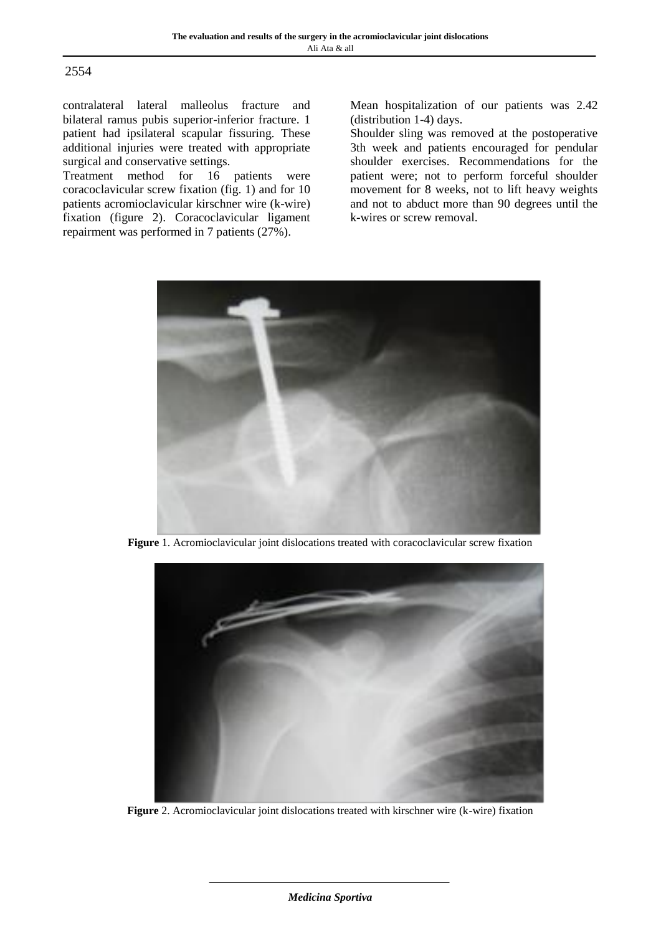#### 2554

contralateral lateral malleolus fracture and bilateral ramus pubis superior-inferior fracture. 1 patient had ipsilateral scapular fissuring. These additional injuries were treated with appropriate

surgical and conservative settings.<br>Treatment method for 16 patients were Treatment method for 16 coracoclavicular screw fixation (fig. 1) and for 10 patients acromioclavicular kirschner wire (k-wire) fixation (figure 2). Coracoclavicular ligament repairment was performed in 7 patients (27%).

Mean hospitalization of our patients was 2.42 (distribution 1-4) days.

Shoulder sling was removed at the postoperative 3th week and patients encouraged for pendular shoulder exercises. Recommendations for the patient were; not to perform forceful shoulder movement for 8 weeks, not to lift heavy weights and not to abduct more than 90 degrees until the k-wires or screw removal.



**Figure** 1. Acromioclavicular joint dislocations treated with coracoclavicular screw fixation



**Figure** 2. Acromioclavicular joint dislocations treated with kirschner wire (k-wire) fixation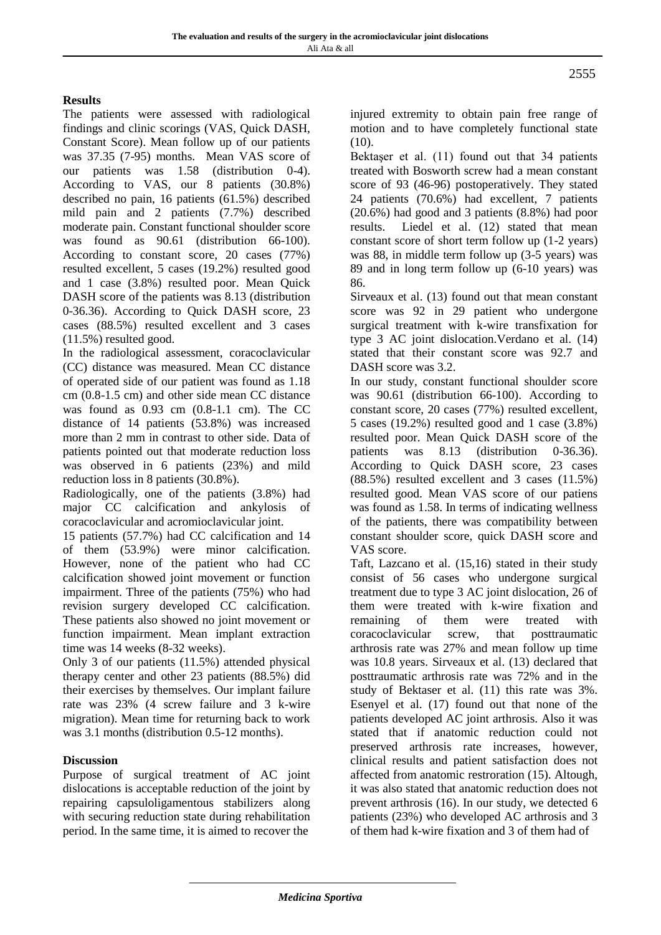## **Results**

The patients were assessed with radiological findings and clinic scorings (VAS, Quick DASH, Constant Score). Mean follow up of our patients was 37.35 (7-95) months. Mean VAS score of our patients was 1.58 (distribution 0-4). According to VAS, our 8 patients (30.8%) described no pain, 16 patients (61.5%) described mild pain and 2 patients (7.7%) described moderate pain. Constant functional shoulder score was found as 90.61 (distribution 66-100). According to constant score, 20 cases (77%) resulted excellent, 5 cases (19.2%) resulted good and 1 case (3.8%) resulted poor. Mean Quick DASH score of the patients was 8.13 (distribution 0-36.36). According to Quick DASH score, 23 cases (88.5%) resulted excellent and 3 cases (11.5%) resulted good.

In the radiological assessment, coracoclavicular (CC) distance was measured. Mean CC distance of operated side of our patient was found as 1.18 cm (0.8-1.5 cm) and other side mean CC distance was found as 0.93 cm (0.8-1.1 cm). The CC distance of 14 patients (53.8%) was increased more than 2 mm in contrast to other side. Data of patients pointed out that moderate reduction loss was observed in 6 patients (23%) and mild reduction loss in 8 patients (30.8%).

Radiologically, one of the patients (3.8%) had major CC calcification and ankylosis of coracoclavicular and acromioclavicular joint.

15 patients (57.7%) had CC calcification and 14 of them (53.9%) were minor calcification. However, none of the patient who had CC calcification showed joint movement or function impairment. Three of the patients (75%) who had revision surgery developed CC calcification. These patients also showed no joint movement or function impairment. Mean implant extraction time was 14 weeks (8-32 weeks).

Only 3 of our patients (11.5%) attended physical therapy center and other 23 patients (88.5%) did their exercises by themselves. Our implant failure rate was 23% (4 screw failure and 3 k-wire migration). Mean time for returning back to work was 3.1 months (distribution 0.5-12 months).

## **Discussion**

Purpose of surgical treatment of AC joint dislocations is acceptable reduction of the joint by repairing capsuloligamentous stabilizers along with securing reduction state during rehabilitation period. In the same time, it is aimed to recover the

injured extremity to obtain pain free range of motion and to have completely functional state (10).

Bektaşer et al. (11) found out that 34 patients treated with Bosworth screw had a mean constant score of 93 (46-96) postoperatively. They stated 24 patients (70.6%) had excellent, 7 patients (20.6%) had good and 3 patients (8.8%) had poor results. Liedel et al. (12) stated that mean constant score of short term follow up (1-2 years) was 88, in middle term follow up (3-5 years) was 89 and in long term follow up (6-10 years) was 86.

Sirveaux et al. (13) found out that mean constant score was 92 in 29 patient who undergone surgical treatment with k-wire transfixation for type 3 AC joint dislocation.Verdano et al. (14) stated that their constant score was 92.7 and DASH score was 3.2.

In our study, constant functional shoulder score was 90.61 (distribution 66-100). According to constant score, 20 cases (77%) resulted excellent, 5 cases (19.2%) resulted good and 1 case (3.8%) resulted poor. Mean Quick DASH score of the patients was 8.13 (distribution 0-36.36). According to Quick DASH score, 23 cases (88.5%) resulted excellent and 3 cases (11.5%) resulted good. Mean VAS score of our patiens was found as 1.58. In terms of indicating wellness of the patients, there was compatibility between constant shoulder score, quick DASH score and VAS score.

Taft, Lazcano et al. (15,16) stated in their study consist of 56 cases who undergone surgical treatment due to type 3 AC joint dislocation, 26 of them were treated with k-wire fixation and remaining of them were treated with coracoclavicular screw, that posttraumatic arthrosis rate was 27% and mean follow up time was 10.8 years. Sirveaux et al. (13) declared that posttraumatic arthrosis rate was 72% and in the study of Bektaser et al. (11) this rate was 3%. Esenyel et al. (17) found out that none of the patients developed AC joint arthrosis. Also it was stated that if anatomic reduction could not preserved arthrosis rate increases, however, clinical results and patient satisfaction does not affected from anatomic restroration (15). Altough, it was also stated that anatomic reduction does not prevent arthrosis (16). In our study, we detected 6 patients (23%) who developed AC arthrosis and 3 of them had k-wire fixation and 3 of them had of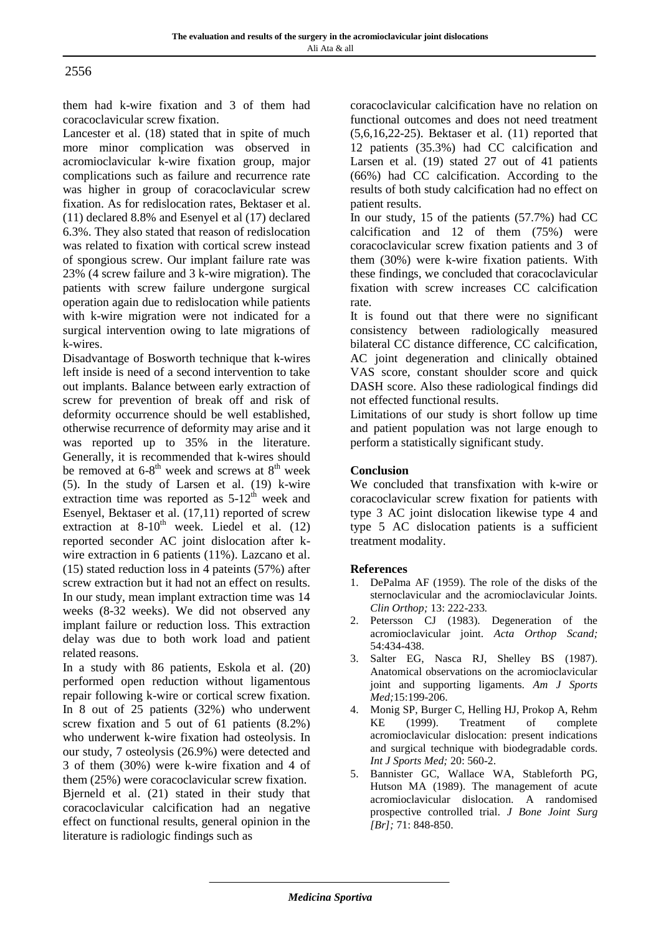## 2556

them had k-wire fixation and 3 of them had coracoclavicular screw fixation.

Lancester et al. (18) stated that in spite of much more minor complication was observed in acromioclavicular k-wire fixation group, major complications such as failure and recurrence rate was higher in group of coracoclavicular screw fixation. As for redislocation rates, Bektaser et al. (11) declared 8.8% and Esenyel et al (17) declared 6.3%. They also stated that reason of redislocation was related to fixation with cortical screw instead of spongious screw. Our implant failure rate was 23% (4 screw failure and 3 k-wire migration). The patients with screw failure undergone surgical operation again due to redislocation while patients with k-wire migration were not indicated for a surgical intervention owing to late migrations of k-wires.

Disadvantage of Bosworth technique that k-wires left inside is need of a second intervention to take out implants. Balance between early extraction of screw for prevention of break off and risk of deformity occurrence should be well established, otherwise recurrence of deformity may arise and it was reported up to 35% in the literature. Generally, it is recommended that k-wires should be removed at  $6-8^{th}$  week and screws at  $8^{th}$  week (5). In the study of Larsen et al. (19) k-wire extraction time was reported as  $5-12^{th}$  week and Esenyel, Bektaser et al. (17,11) reported of screw extraction at  $8-10^{th}$  week. Liedel et al. (12) reported seconder AC joint dislocation after kwire extraction in 6 patients (11%). Lazcano et al. (15) stated reduction loss in 4 pateints (57%) after screw extraction but it had not an effect on results. In our study, mean implant extraction time was 14 weeks (8-32 weeks). We did not observed any implant failure or reduction loss. This extraction delay was due to both work load and patient related reasons.

In a study with 86 patients, Eskola et al. (20) performed open reduction without ligamentous repair following k-wire or cortical screw fixation. In 8 out of 25 patients (32%) who underwent screw fixation and 5 out of 61 patients (8.2%) who underwent k-wire fixation had osteolysis. In our study, 7 osteolysis (26.9%) were detected and 3 of them (30%) were k-wire fixation and 4 of them (25%) were coracoclavicular screw fixation. Bjerneld et al. (21) stated in their study that coracoclavicular calcification had an negative effect on functional results, general opinion in the literature is radiologic findings such as

coracoclavicular calcification have no relation on functional outcomes and does not need treatment (5,6,16,22-25). Bektaser et al. (11) reported that 12 patients (35.3%) had CC calcification and Larsen et al. (19) stated 27 out of 41 patients (66%) had CC calcification. According to the results of both study calcification had no effect on patient results.

In our study, 15 of the patients (57.7%) had CC calcification and 12 of them (75%) were coracoclavicular screw fixation patients and 3 of them (30%) were k-wire fixation patients. With these findings, we concluded that coracoclavicular fixation with screw increases CC calcification rate.

It is found out that there were no significant consistency between radiologically measured bilateral CC distance difference, CC calcification, AC joint degeneration and clinically obtained VAS score, constant shoulder score and quick DASH score. Also these radiological findings did not effected functional results.

Limitations of our study is short follow up time and patient population was not large enough to perform a statistically significant study.

## **Conclusion**

We concluded that transfixation with k-wire or coracoclavicular screw fixation for patients with type 3 AC joint dislocation likewise type 4 and type 5 AC dislocation patients is a sufficient treatment modality.

#### **References**

- 1. DePalma AF (1959). The role of the disks of the sternoclavicular and the acromioclavicular Joints. *Clin Orthop;* 13: 222-233*.*
- 2. Petersson CJ (1983). Degeneration of the acromioclavicular joint. *Acta Orthop Scand;*  54:434-438.
- 3. Salter EG, Nasca RJ, Shelley BS (1987). Anatomical observations on the acromioclavicular joint and supporting ligaments. *Am J Sports Med;*15:199-206.
- 4. Monig SP, Burger C, Helling HJ, Prokop A, Rehm KE (1999). Treatment of complete acromioclavicular dislocation: present indications and surgical technique with biodegradable cords. *Int J Sports Med;* 20: 560-2.
- 5. Bannister GC, Wallace WA, Stableforth PG, Hutson MA (1989). The management of acute acromioclavicular dislocation. A randomised prospective controlled trial. *J Bone Joint Surg [Br];* 71: 848-850.